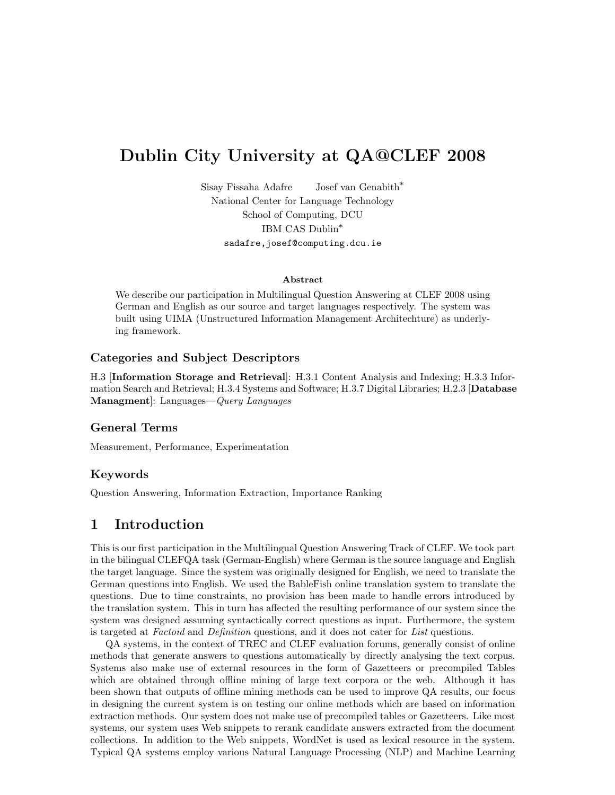# Dublin City University at QA@CLEF 2008

Sisay Fissaha Adafre Josef van Genabith<sup>∗</sup> National Center for Language Technology School of Computing, DCU IBM CAS Dublin<sup>∗</sup> sadafre,josef@computing.dcu.ie

#### Abstract

We describe our participation in Multilingual Question Answering at CLEF 2008 using German and English as our source and target languages respectively. The system was built using UIMA (Unstructured Information Management Architechture) as underlying framework.

### Categories and Subject Descriptors

H.3 [Information Storage and Retrieval]: H.3.1 Content Analysis and Indexing; H.3.3 Information Search and Retrieval; H.3.4 Systems and Software; H.3.7 Digital Libraries; H.2.3 [Database Managment]: Languages—*Query Languages* 

### General Terms

Measurement, Performance, Experimentation

#### Keywords

Question Answering, Information Extraction, Importance Ranking

# <span id="page-0-0"></span>1 Introduction

This is our first participation in the Multilingual Question Answering Track of CLEF. We took part in the bilingual CLEFQA task (German-English) where German is the source language and English the target language. Since the system was originally designed for English, we need to translate the German questions into English. We used the BableFish online translation system to translate the questions. Due to time constraints, no provision has been made to handle errors introduced by the translation system. This in turn has affected the resulting performance of our system since the system was designed assuming syntactically correct questions as input. Furthermore, the system is targeted at Factoid and Definition questions, and it does not cater for List questions.

QA systems, in the context of TREC and CLEF evaluation forums, generally consist of online methods that generate answers to questions automatically by directly analysing the text corpus. Systems also make use of external resources in the form of Gazetteers or precompiled Tables which are obtained through offline mining of large text corpora or the web. Although it has been shown that outputs of offline mining methods can be used to improve QA results, our focus in designing the current system is on testing our online methods which are based on information extraction methods. Our system does not make use of precompiled tables or Gazetteers. Like most systems, our system uses Web snippets to rerank candidate answers extracted from the document collections. In addition to the Web snippets, WordNet is used as lexical resource in the system. Typical QA systems employ various Natural Language Processing (NLP) and Machine Learning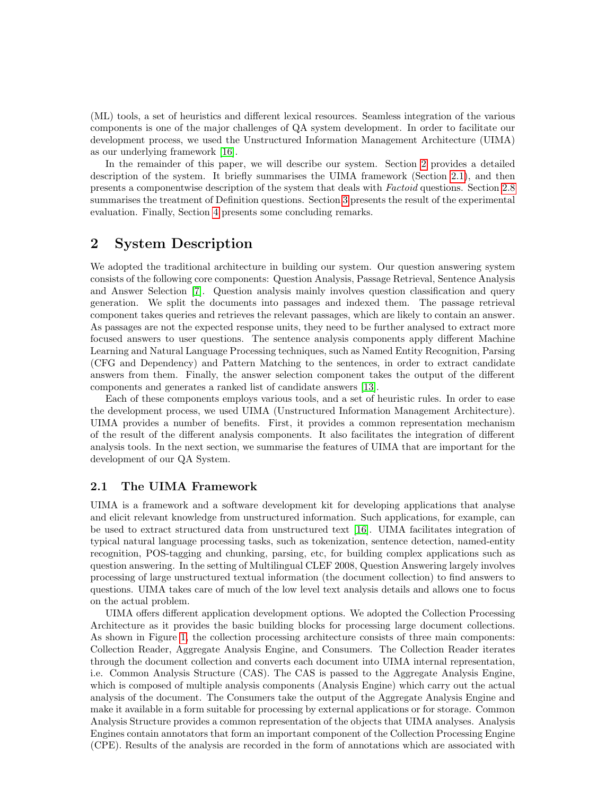(ML) tools, a set of heuristics and different lexical resources. Seamless integration of the various components is one of the major challenges of QA system development. In order to facilitate our development process, we used the Unstructured Information Management Architecture (UIMA) as our underlying framework [\[16\]](#page-9-0).

In the remainder of this paper, we will describe our system. Section [2](#page-1-0) provides a detailed description of the system. It briefly summarises the UIMA framework (Section [2.1\)](#page-1-1), and then presents a componentwise description of the system that deals with Factoid questions. Section [2.8](#page-7-0) summarises the treatment of Definition questions. Section [3](#page-7-1) presents the result of the experimental evaluation. Finally, Section [4](#page-8-0) presents some concluding remarks.

# <span id="page-1-0"></span>2 System Description

We adopted the traditional architecture in building our system. Our question answering system consists of the following core components: Question Analysis, Passage Retrieval, Sentence Analysis and Answer Selection [\[7\]](#page-9-1). Question analysis mainly involves question classification and query generation. We split the documents into passages and indexed them. The passage retrieval component takes queries and retrieves the relevant passages, which are likely to contain an answer. As passages are not the expected response units, they need to be further analysed to extract more focused answers to user questions. The sentence analysis components apply different Machine Learning and Natural Language Processing techniques, such as Named Entity Recognition, Parsing (CFG and Dependency) and Pattern Matching to the sentences, in order to extract candidate answers from them. Finally, the answer selection component takes the output of the different components and generates a ranked list of candidate answers [\[13\]](#page-9-2).

Each of these components employs various tools, and a set of heuristic rules. In order to ease the development process, we used UIMA (Unstructured Information Management Architecture). UIMA provides a number of benefits. First, it provides a common representation mechanism of the result of the different analysis components. It also facilitates the integration of different analysis tools. In the next section, we summarise the features of UIMA that are important for the development of our QA System.

### <span id="page-1-1"></span>2.1 The UIMA Framework

UIMA is a framework and a software development kit for developing applications that analyse and elicit relevant knowledge from unstructured information. Such applications, for example, can be used to extract structured data from unstructured text [\[16\]](#page-9-0). UIMA facilitates integration of typical natural language processing tasks, such as tokenization, sentence detection, named-entity recognition, POS-tagging and chunking, parsing, etc, for building complex applications such as question answering. In the setting of Multilingual CLEF 2008, Question Answering largely involves processing of large unstructured textual information (the document collection) to find answers to questions. UIMA takes care of much of the low level text analysis details and allows one to focus on the actual problem.

UIMA offers different application development options. We adopted the Collection Processing Architecture as it provides the basic building blocks for processing large document collections. As shown in Figure [1,](#page-2-0) the collection processing architecture consists of three main components: Collection Reader, Aggregate Analysis Engine, and Consumers. The Collection Reader iterates through the document collection and converts each document into UIMA internal representation, i.e. Common Analysis Structure (CAS). The CAS is passed to the Aggregate Analysis Engine, which is composed of multiple analysis components (Analysis Engine) which carry out the actual analysis of the document. The Consumers take the output of the Aggregate Analysis Engine and make it available in a form suitable for processing by external applications or for storage. Common Analysis Structure provides a common representation of the objects that UIMA analyses. Analysis Engines contain annotators that form an important component of the Collection Processing Engine (CPE). Results of the analysis are recorded in the form of annotations which are associated with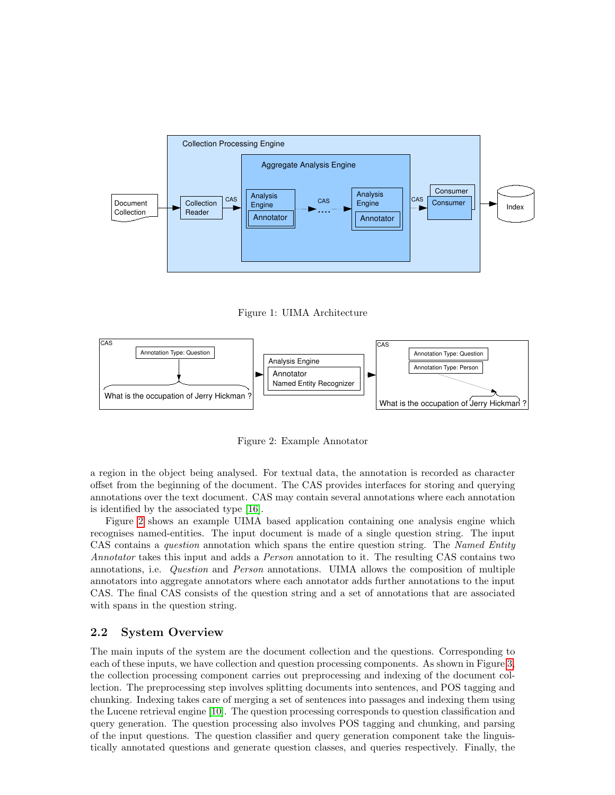

<span id="page-2-0"></span>Figure 1: UIMA Architecture



<span id="page-2-1"></span>Figure 2: Example Annotator

a region in the object being analysed. For textual data, the annotation is recorded as character offset from the beginning of the document. The CAS provides interfaces for storing and querying annotations over the text document. CAS may contain several annotations where each annotation is identified by the associated type [\[16\]](#page-9-0).

Figure [2](#page-2-1) shows an example UIMA based application containing one analysis engine which recognises named-entities. The input document is made of a single question string. The input CAS contains a *question* annotation which spans the entire question string. The *Named Entity* Annotator takes this input and adds a Person annotation to it. The resulting CAS contains two annotations, i.e. Question and Person annotations. UIMA allows the composition of multiple annotators into aggregate annotators where each annotator adds further annotations to the input CAS. The final CAS consists of the question string and a set of annotations that are associated with spans in the question string.

# 2.2 System Overview

The main inputs of the system are the document collection and the questions. Corresponding to each of these inputs, we have collection and question processing components. As shown in Figure [3,](#page-3-0) the collection processing component carries out preprocessing and indexing of the document collection. The preprocessing step involves splitting documents into sentences, and POS tagging and chunking. Indexing takes care of merging a set of sentences into passages and indexing them using the Lucene retrieval engine [\[10\]](#page-9-3). The question processing corresponds to question classification and query generation. The question processing also involves POS tagging and chunking, and parsing of the input questions. The question classifier and query generation component take the linguistically annotated questions and generate question classes, and queries respectively. Finally, the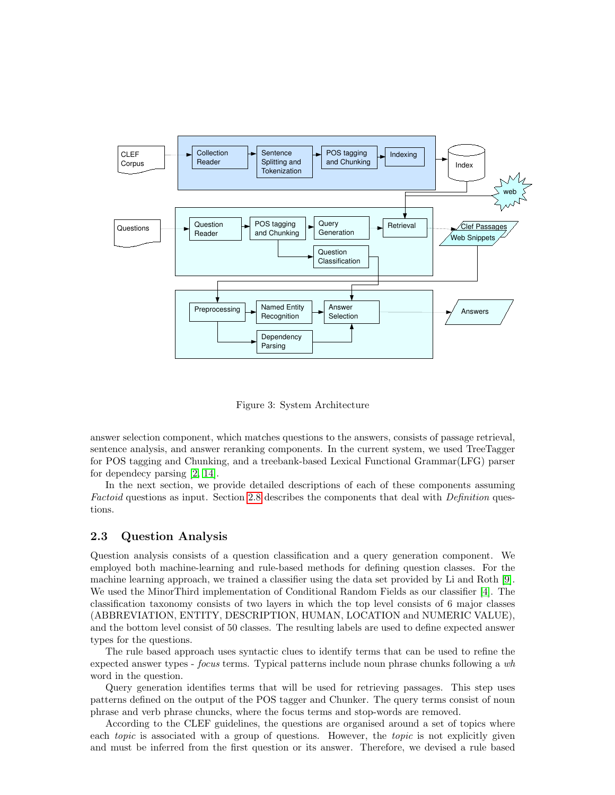

<span id="page-3-0"></span>Figure 3: System Architecture

answer selection component, which matches questions to the answers, consists of passage retrieval, sentence analysis, and answer reranking components. In the current system, we used TreeTagger for POS tagging and Chunking, and a treebank-based Lexical Functional Grammar(LFG) parser for dependecy parsing [\[2,](#page-8-1) [14\]](#page-9-4).

In the next section, we provide detailed descriptions of each of these components assuming Factoid questions as input. Section [2.8](#page-7-0) describes the components that deal with *Definition* questions.

### 2.3 Question Analysis

Question analysis consists of a question classification and a query generation component. We employed both machine-learning and rule-based methods for defining question classes. For the machine learning approach, we trained a classifier using the data set provided by Li and Roth [\[9\]](#page-9-5). We used the MinorThird implementation of Conditional Random Fields as our classifier [\[4\]](#page-8-2). The classification taxonomy consists of two layers in which the top level consists of 6 major classes (ABBREVIATION, ENTITY, DESCRIPTION, HUMAN, LOCATION and NUMERIC VALUE), and the bottom level consist of 50 classes. The resulting labels are used to define expected answer types for the questions.

The rule based approach uses syntactic clues to identify terms that can be used to refine the expected answer types - *focus* terms. Typical patterns include noun phrase chunks following a wh word in the question.

Query generation identifies terms that will be used for retrieving passages. This step uses patterns defined on the output of the POS tagger and Chunker. The query terms consist of noun phrase and verb phrase chuncks, where the focus terms and stop-words are removed.

According to the CLEF guidelines, the questions are organised around a set of topics where each *topic* is associated with a group of questions. However, the *topic* is not explicitly given and must be inferred from the first question or its answer. Therefore, we devised a rule based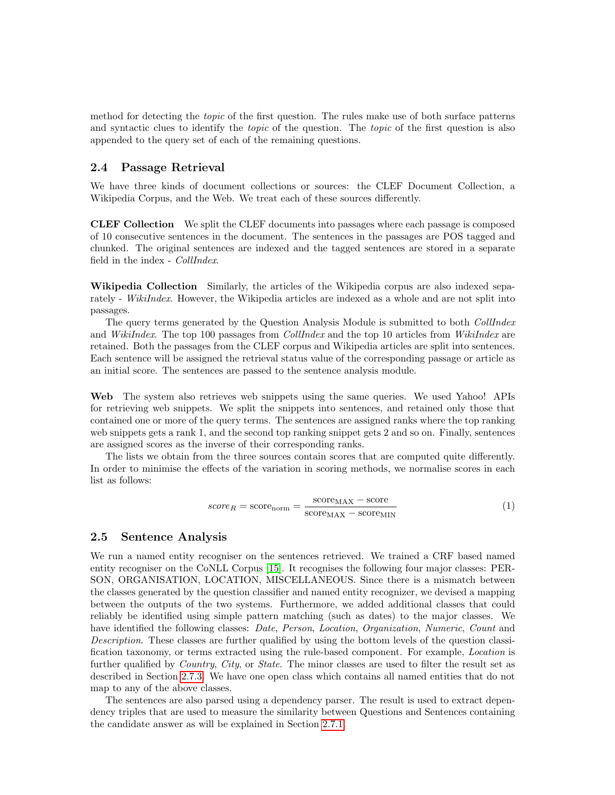method for detecting the topic of the first question. The rules make use of both surface patterns and syntactic clues to identify the *topic* of the question. The *topic* of the first question is also appended to the query set of each of the remaining questions.

#### 2.4 Passage Retrieval

We have three kinds of document collections or sources: the CLEF Document Collection, a Wikipedia Corpus, and the Web. We treat each of these sources differently.

CLEF Collection We split the CLEF documents into passages where each passage is composed of 10 consecutive sentences in the document. The sentences in the passages are POS tagged and chunked. The original sentences are indexed and the tagged sentences are stored in a separate field in the index - CollIndex.

Wikipedia Collection Similarly, the articles of the Wikipedia corpus are also indexed separately - WikiIndex. However, the Wikipedia articles are indexed as a whole and are not split into passages.

The query terms generated by the Question Analysis Module is submitted to both *CollIndex* and *WikiIndex*. The top 100 passages from *CollIndex* and the top 10 articles from *WikiIndex* are retained. Both the passages from the CLEF corpus and Wikipedia articles are split into sentences. Each sentence will be assigned the retrieval status value of the corresponding passage or article as an initial score. The sentences are passed to the sentence analysis module.

Web The system also retrieves web snippets using the same queries. We used Yahoo! APIs for retrieving web snippets. We split the snippets into sentences, and retained only those that contained one or more of the query terms. The sentences are assigned ranks where the top ranking web snippets gets a rank 1, and the second top ranking snippet gets 2 and so on. Finally, sentences are assigned scores as the inverse of their corresponding ranks.

The lists we obtain from the three sources contain scores that are computed quite differently. In order to minimise the effects of the variation in scoring methods, we normalise scores in each list as follows:

<span id="page-4-1"></span>
$$
score_R = score_{norm} = \frac{score_{MAX} - score}{score_{MAX} - score_{MIN}}
$$
(1)

### <span id="page-4-0"></span>2.5 Sentence Analysis

We run a named entity recogniser on the sentences retrieved. We trained a CRF based named entity recogniser on the CoNLL Corpus [\[15\]](#page-9-6). It recognises the following four major classes: PER-SON, ORGANISATION, LOCATION, MISCELLANEOUS. Since there is a mismatch between the classes generated by the question classifier and named entity recognizer, we devised a mapping between the outputs of the two systems. Furthermore, we added additional classes that could reliably be identified using simple pattern matching (such as dates) to the major classes. We have identified the following classes: Date, Person, Location, Organization, Numeric, Count and Description. These classes are further qualified by using the bottom levels of the question classification taxonomy, or terms extracted using the rule-based component. For example, *Location* is further qualified by *Country, City,* or *State*. The minor classes are used to filter the result set as described in Section [2.7.3.](#page-5-0) We have one open class which contains all named entities that do not map to any of the above classes.

The sentences are also parsed using a dependency parser. The result is used to extract dependency triples that are used to measure the similarity between Questions and Sentences containing the candidate answer as will be explained in Section [2.7.1.](#page-5-1)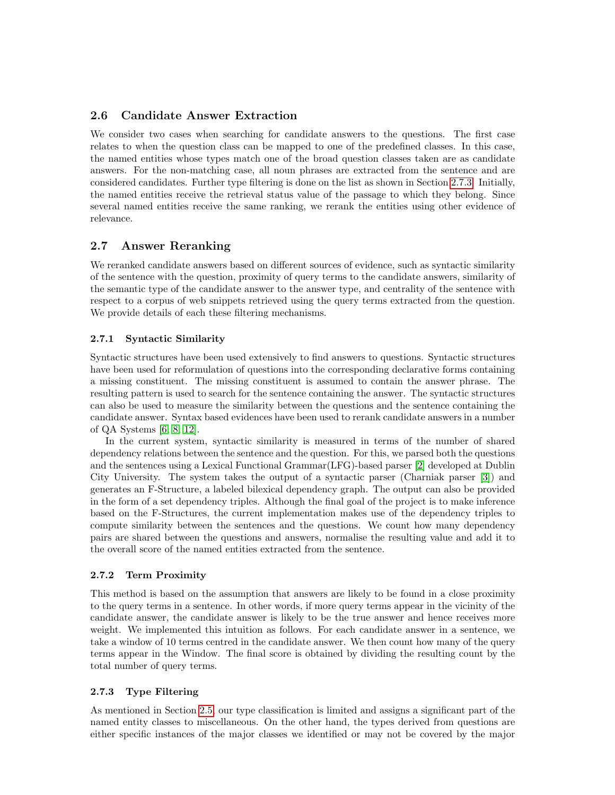# 2.6 Candidate Answer Extraction

We consider two cases when searching for candidate answers to the questions. The first case relates to when the question class can be mapped to one of the predefined classes. In this case, the named entities whose types match one of the broad question classes taken are as candidate answers. For the non-matching case, all noun phrases are extracted from the sentence and are considered candidates. Further type filtering is done on the list as shown in Section [2.7.3.](#page-5-0) Initially, the named entities receive the retrieval status value of the passage to which they belong. Since several named entities receive the same ranking, we rerank the entities using other evidence of relevance.

# 2.7 Answer Reranking

We reranked candidate answers based on different sources of evidence, such as syntactic similarity of the sentence with the question, proximity of query terms to the candidate answers, similarity of the semantic type of the candidate answer to the answer type, and centrality of the sentence with respect to a corpus of web snippets retrieved using the query terms extracted from the question. We provide details of each these filtering mechanisms.

#### <span id="page-5-1"></span>2.7.1 Syntactic Similarity

Syntactic structures have been used extensively to find answers to questions. Syntactic structures have been used for reformulation of questions into the corresponding declarative forms containing a missing constituent. The missing constituent is assumed to contain the answer phrase. The resulting pattern is used to search for the sentence containing the answer. The syntactic structures can also be used to measure the similarity between the questions and the sentence containing the candidate answer. Syntax based evidences have been used to rerank candidate answers in a number of QA Systems [\[6,](#page-9-7) [8,](#page-9-8) [12\]](#page-9-9).

In the current system, syntactic similarity is measured in terms of the number of shared dependency relations between the sentence and the question. For this, we parsed both the questions and the sentences using a Lexical Functional Grammar(LFG)-based parser [\[2\]](#page-8-1) developed at Dublin City University. The system takes the output of a syntactic parser (Charniak parser [\[3\]](#page-8-3)) and generates an F-Structure, a labeled bilexical dependency graph. The output can also be provided in the form of a set dependency triples. Although the final goal of the project is to make inference based on the F-Structures, the current implementation makes use of the dependency triples to compute similarity between the sentences and the questions. We count how many dependency pairs are shared between the questions and answers, normalise the resulting value and add it to the overall score of the named entities extracted from the sentence.

#### 2.7.2 Term Proximity

This method is based on the assumption that answers are likely to be found in a close proximity to the query terms in a sentence. In other words, if more query terms appear in the vicinity of the candidate answer, the candidate answer is likely to be the true answer and hence receives more weight. We implemented this intuition as follows. For each candidate answer in a sentence, we take a window of 10 terms centred in the candidate answer. We then count how many of the query terms appear in the Window. The final score is obtained by dividing the resulting count by the total number of query terms.

#### <span id="page-5-0"></span>2.7.3 Type Filtering

As mentioned in Section [2.5,](#page-4-0) our type classification is limited and assigns a significant part of the named entity classes to miscellaneous. On the other hand, the types derived from questions are either specific instances of the major classes we identified or may not be covered by the major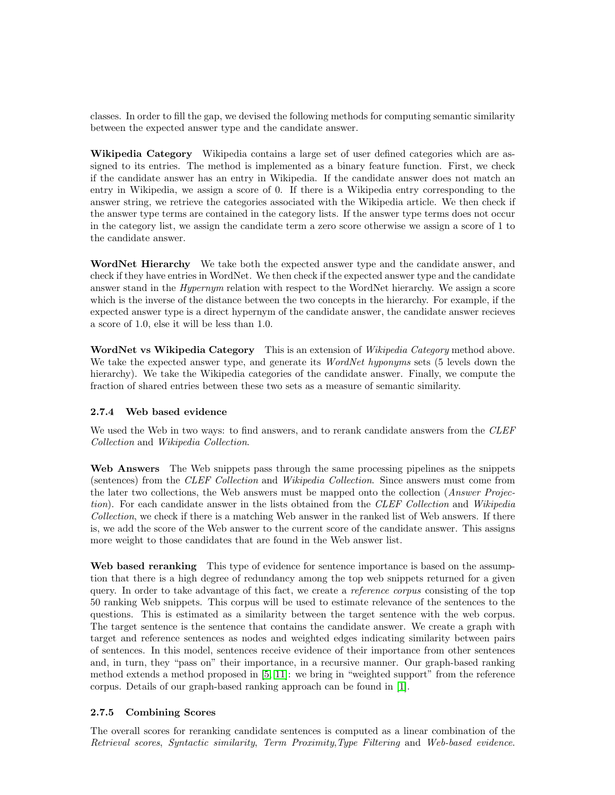classes. In order to fill the gap, we devised the following methods for computing semantic similarity between the expected answer type and the candidate answer.

Wikipedia Category Wikipedia contains a large set of user defined categories which are assigned to its entries. The method is implemented as a binary feature function. First, we check if the candidate answer has an entry in Wikipedia. If the candidate answer does not match an entry in Wikipedia, we assign a score of 0. If there is a Wikipedia entry corresponding to the answer string, we retrieve the categories associated with the Wikipedia article. We then check if the answer type terms are contained in the category lists. If the answer type terms does not occur in the category list, we assign the candidate term a zero score otherwise we assign a score of 1 to the candidate answer.

WordNet Hierarchy We take both the expected answer type and the candidate answer, and check if they have entries in WordNet. We then check if the expected answer type and the candidate answer stand in the *Hypernym* relation with respect to the WordNet hierarchy. We assign a score which is the inverse of the distance between the two concepts in the hierarchy. For example, if the expected answer type is a direct hypernym of the candidate answer, the candidate answer recieves a score of 1.0, else it will be less than 1.0.

WordNet vs Wikipedia Category This is an extension of Wikipedia Category method above. We take the expected answer type, and generate its *WordNet hyponyms* sets (5 levels down the hierarchy). We take the Wikipedia categories of the candidate answer. Finally, we compute the fraction of shared entries between these two sets as a measure of semantic similarity.

#### <span id="page-6-0"></span>2.7.4 Web based evidence

We used the Web in two ways: to find answers, and to rerank candidate answers from the CLEF Collection and Wikipedia Collection.

Web Answers The Web snippets pass through the same processing pipelines as the snippets (sentences) from the CLEF Collection and Wikipedia Collection. Since answers must come from the later two collections, the Web answers must be mapped onto the collection (*Answer Projec*tion). For each candidate answer in the lists obtained from the CLEF Collection and Wikipedia Collection, we check if there is a matching Web answer in the ranked list of Web answers. If there is, we add the score of the Web answer to the current score of the candidate answer. This assigns more weight to those candidates that are found in the Web answer list.

Web based reranking This type of evidence for sentence importance is based on the assumption that there is a high degree of redundancy among the top web snippets returned for a given query. In order to take advantage of this fact, we create a *reference corpus* consisting of the top 50 ranking Web snippets. This corpus will be used to estimate relevance of the sentences to the questions. This is estimated as a similarity between the target sentence with the web corpus. The target sentence is the sentence that contains the candidate answer. We create a graph with target and reference sentences as nodes and weighted edges indicating similarity between pairs of sentences. In this model, sentences receive evidence of their importance from other sentences and, in turn, they "pass on" their importance, in a recursive manner. Our graph-based ranking method extends a method proposed in [\[5,](#page-9-10) [11\]](#page-9-11): we bring in "weighted support" from the reference corpus. Details of our graph-based ranking approach can be found in [\[1\]](#page-8-4).

### 2.7.5 Combining Scores

The overall scores for reranking candidate sentences is computed as a linear combination of the Retrieval scores, Syntactic similarity, Term Proximity,Type Filtering and Web-based evidence.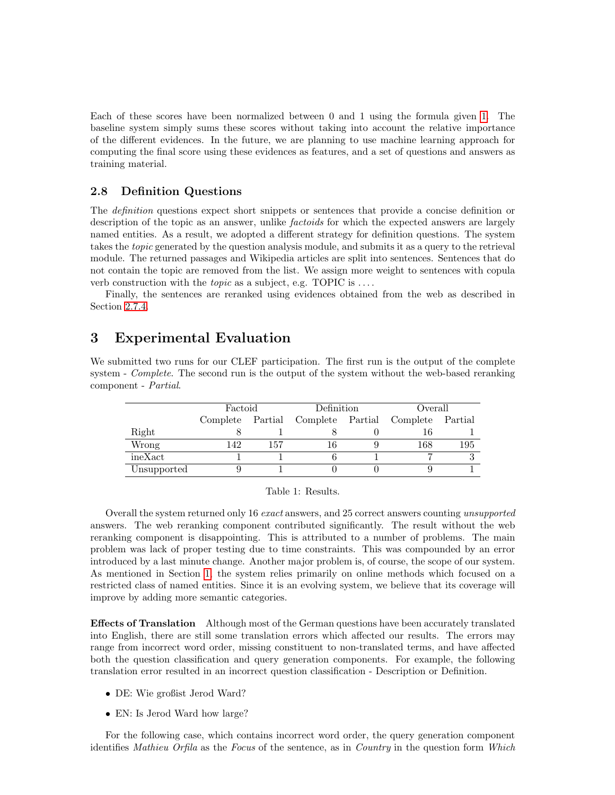Each of these scores have been normalized between 0 and 1 using the formula given [1.](#page-4-1) The baseline system simply sums these scores without taking into account the relative importance of the different evidences. In the future, we are planning to use machine learning approach for computing the final score using these evidences as features, and a set of questions and answers as training material.

### <span id="page-7-0"></span>2.8 Definition Questions

The *definition* questions expect short snippets or sentences that provide a concise definition or description of the topic as an answer, unlike factoids for which the expected answers are largely named entities. As a result, we adopted a different strategy for definition questions. The system takes the topic generated by the question analysis module, and submits it as a query to the retrieval module. The returned passages and Wikipedia articles are split into sentences. Sentences that do not contain the topic are removed from the list. We assign more weight to sentences with copula verb construction with the *topic* as a subject, e.g. TOPIC is  $\dots$ 

Finally, the sentences are reranked using evidences obtained from the web as described in Section [2.7.4.](#page-6-0)

# <span id="page-7-1"></span>3 Experimental Evaluation

We submitted two runs for our CLEF participation. The first run is the output of the complete system - *Complete*. The second run is the output of the system without the web-based reranking component - Partial.

|             | Factoid |     | Definition                                         |  | Overall |          |
|-------------|---------|-----|----------------------------------------------------|--|---------|----------|
|             |         |     | Complete Partial Complete Partial Complete Partial |  |         |          |
| Right       |         |     |                                                    |  |         |          |
| Wrong       | 142     | 157 | 16                                                 |  | 168     | 195      |
| ineXact     |         |     |                                                    |  |         | $\Omega$ |
| Unsupported |         |     |                                                    |  |         |          |

| Table 1: Results. |
|-------------------|
|                   |

Overall the system returned only 16 exact answers, and 25 correct answers counting unsupported answers. The web reranking component contributed significantly. The result without the web reranking component is disappointing. This is attributed to a number of problems. The main problem was lack of proper testing due to time constraints. This was compounded by an error introduced by a last minute change. Another major problem is, of course, the scope of our system. As mentioned in Section [1,](#page-0-0) the system relies primarily on online methods which focused on a restricted class of named entities. Since it is an evolving system, we believe that its coverage will improve by adding more semantic categories.

Effects of Translation Although most of the German questions have been accurately translated into English, there are still some translation errors which affected our results. The errors may range from incorrect word order, missing constituent to non-translated terms, and have affected both the question classification and query generation components. For example, the following translation error resulted in an incorrect question classification - Description or Definition.

- DE: Wie großist Jerod Ward?
- EN: Is Jerod Ward how large?

For the following case, which contains incorrect word order, the query generation component identifies Mathieu Orfila as the Focus of the sentence, as in Country in the question form Which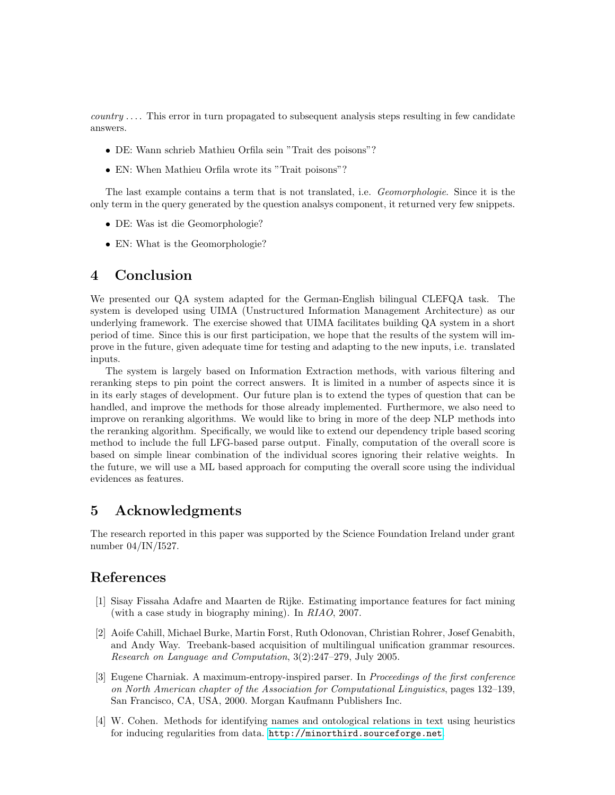$country \ldots$ . This error in turn propagated to subsequent analysis steps resulting in few candidate answers.

- DE: Wann schrieb Mathieu Orfila sein "Trait des poisons"?
- EN: When Mathieu Orfila wrote its "Trait poisons"?

The last example contains a term that is not translated, i.e. Geomorphologie. Since it is the only term in the query generated by the question analsys component, it returned very few snippets.

- DE: Was ist die Geomorphologie?
- EN: What is the Geomorphologie?

# <span id="page-8-0"></span>4 Conclusion

We presented our QA system adapted for the German-English bilingual CLEFQA task. The system is developed using UIMA (Unstructured Information Management Architecture) as our underlying framework. The exercise showed that UIMA facilitates building QA system in a short period of time. Since this is our first participation, we hope that the results of the system will improve in the future, given adequate time for testing and adapting to the new inputs, i.e. translated inputs.

The system is largely based on Information Extraction methods, with various filtering and reranking steps to pin point the correct answers. It is limited in a number of aspects since it is in its early stages of development. Our future plan is to extend the types of question that can be handled, and improve the methods for those already implemented. Furthermore, we also need to improve on reranking algorithms. We would like to bring in more of the deep NLP methods into the reranking algorithm. Specifically, we would like to extend our dependency triple based scoring method to include the full LFG-based parse output. Finally, computation of the overall score is based on simple linear combination of the individual scores ignoring their relative weights. In the future, we will use a ML based approach for computing the overall score using the individual evidences as features.

# 5 Acknowledgments

The research reported in this paper was supported by the Science Foundation Ireland under grant number 04/IN/I527.

# References

- <span id="page-8-4"></span>[1] Sisay Fissaha Adafre and Maarten de Rijke. Estimating importance features for fact mining (with a case study in biography mining). In RIAO, 2007.
- <span id="page-8-1"></span>[2] Aoife Cahill, Michael Burke, Martin Forst, Ruth Odonovan, Christian Rohrer, Josef Genabith, and Andy Way. Treebank-based acquisition of multilingual unification grammar resources. Research on Language and Computation, 3(2):247–279, July 2005.
- <span id="page-8-3"></span>[3] Eugene Charniak. A maximum-entropy-inspired parser. In Proceedings of the first conference on North American chapter of the Association for Computational Linguistics, pages 132–139, San Francisco, CA, USA, 2000. Morgan Kaufmann Publishers Inc.
- <span id="page-8-2"></span>[4] W. Cohen. Methods for identifying names and ontological relations in text using heuristics for inducing regularities from data. <http://minorthird.sourceforge.net>.